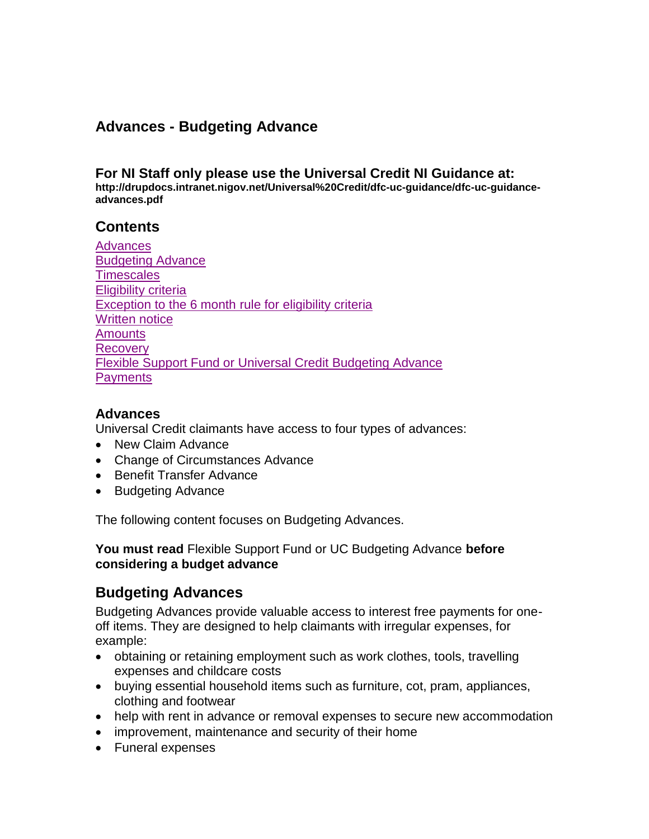## **Advances - Budgeting Advance**

#### **For NI Staff only please use the Universal Credit NI Guidance at:**

**http://drupdocs.intranet.nigov.net/Universal%20Credit/dfc-uc-guidance/dfc-uc-guidanceadvances.pdf**

#### **Contents**

| <b>Advances</b>                                                    |
|--------------------------------------------------------------------|
| <b>Budgeting Advance</b>                                           |
| <b>Timescales</b>                                                  |
| Eligibility criteria                                               |
| Exception to the 6 month rule for eligibility criteria             |
| <b>Written notice</b>                                              |
| <b>Amounts</b>                                                     |
| <b>Recovery</b>                                                    |
| <b>Flexible Support Fund or Universal Credit Budgeting Advance</b> |
| <b>Payments</b>                                                    |
|                                                                    |

#### <span id="page-0-0"></span>**Advances**

Universal Credit claimants have access to four types of advances:

- New Claim Advance
- Change of Circumstances Advance
- Benefit Transfer Advance
- Budgeting Advance

The following content focuses on Budgeting Advances.

**You must read** Flexible Support Fund or UC Budgeting Advance **before considering a budget advance**

## <span id="page-0-1"></span>**Budgeting Advances**

Budgeting Advances provide valuable access to interest free payments for oneoff items. They are designed to help claimants with irregular expenses, for example:

- obtaining or retaining employment such as work clothes, tools, travelling expenses and childcare costs
- buying essential household items such as furniture, cot, pram, appliances, clothing and footwear
- help with rent in advance or removal expenses to secure new accommodation
- improvement, maintenance and security of their home
- Funeral expenses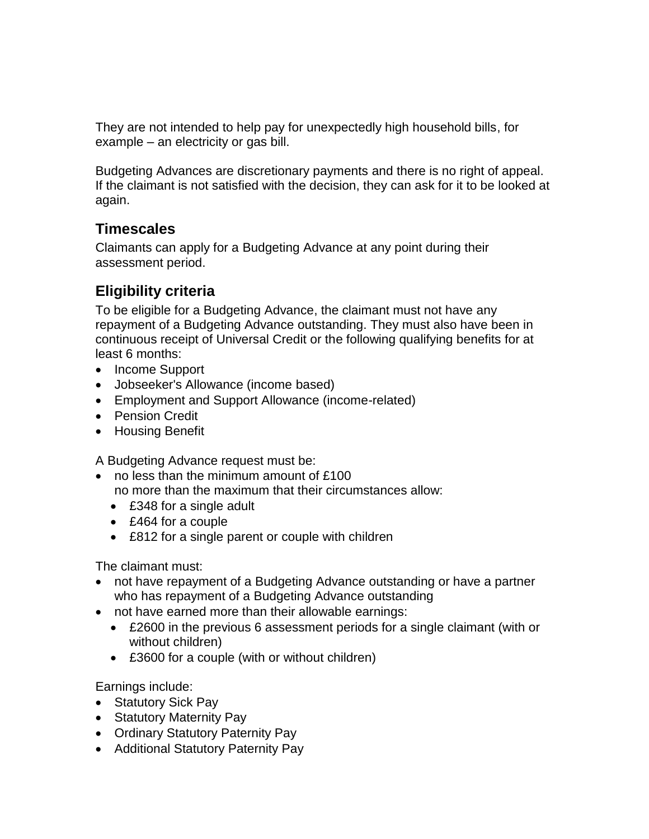They are not intended to help pay for unexpectedly high household bills, for example – an electricity or gas bill.

Budgeting Advances are discretionary payments and there is no right of appeal. If the claimant is not satisfied with the decision, they can ask for it to be looked at again.

#### <span id="page-1-0"></span>**Timescales**

Claimants can apply for a Budgeting Advance at any point during their assessment period.

# <span id="page-1-1"></span>**Eligibility criteria**

To be eligible for a Budgeting Advance, the claimant must not have any repayment of a Budgeting Advance outstanding. They must also have been in continuous receipt of Universal Credit or the following qualifying benefits for at least 6 months:

- Income Support
- Jobseeker's Allowance (income based)
- Employment and Support Allowance (income-related)
- Pension Credit
- Housing Benefit

A Budgeting Advance request must be:

- no less than the minimum amount of £100 no more than the maximum that their circumstances allow:
	- £348 for a single adult
	- £464 for a couple
	- £812 for a single parent or couple with children

The claimant must:

- not have repayment of a Budgeting Advance outstanding or have a partner who has repayment of a Budgeting Advance outstanding
- not have earned more than their allowable earnings:
	- £2600 in the previous 6 assessment periods for a single claimant (with or without children)
	- £3600 for a couple (with or without children)

Earnings include:

- Statutory Sick Pay
- Statutory Maternity Pay
- Ordinary Statutory Paternity Pay
- Additional Statutory Paternity Pay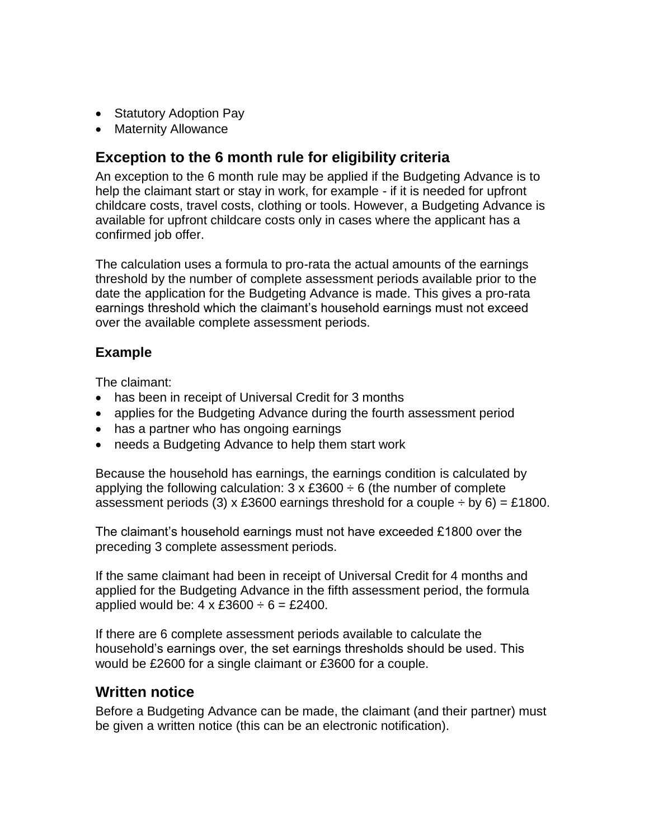- Statutory Adoption Pay
- Maternity Allowance

#### <span id="page-2-0"></span>**Exception to the 6 month rule for eligibility criteria**

An exception to the 6 month rule may be applied if the Budgeting Advance is to help the claimant start or stay in work, for example - if it is needed for upfront childcare costs, travel costs, clothing or tools. However, a Budgeting Advance is available for upfront childcare costs only in cases where the applicant has a confirmed job offer.

The calculation uses a formula to pro-rata the actual amounts of the earnings threshold by the number of complete assessment periods available prior to the date the application for the Budgeting Advance is made. This gives a pro-rata earnings threshold which the claimant's household earnings must not exceed over the available complete assessment periods.

#### **Example**

The claimant:

- has been in receipt of Universal Credit for 3 months
- applies for the Budgeting Advance during the fourth assessment period
- has a partner who has ongoing earnings
- needs a Budgeting Advance to help them start work

Because the household has earnings, the earnings condition is calculated by applying the following calculation:  $3 \times £3600 \div 6$  (the number of complete assessment periods (3) x £3600 earnings threshold for a couple  $\div$  by 6) = £1800.

The claimant's household earnings must not have exceeded £1800 over the preceding 3 complete assessment periods.

If the same claimant had been in receipt of Universal Credit for 4 months and applied for the Budgeting Advance in the fifth assessment period, the formula applied would be:  $4 \times £3600 \div 6 = £2400$ .

If there are 6 complete assessment periods available to calculate the household's earnings over, the set earnings thresholds should be used. This would be £2600 for a single claimant or £3600 for a couple.

## <span id="page-2-1"></span>**Written notice**

Before a Budgeting Advance can be made, the claimant (and their partner) must be given a written notice (this can be an electronic notification).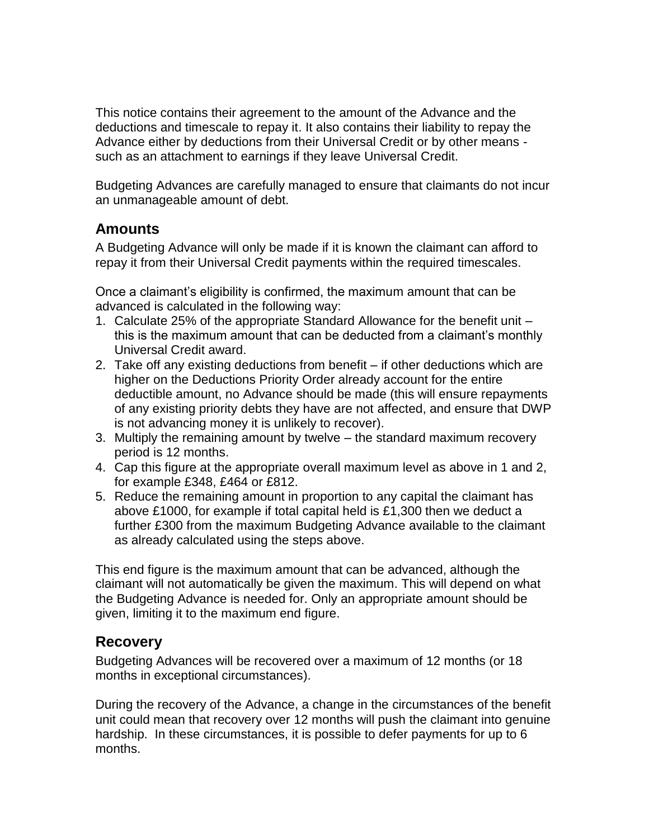This notice contains their agreement to the amount of the Advance and the deductions and timescale to repay it. It also contains their liability to repay the Advance either by deductions from their Universal Credit or by other means such as an attachment to earnings if they leave Universal Credit.

Budgeting Advances are carefully managed to ensure that claimants do not incur an unmanageable amount of debt.

#### <span id="page-3-0"></span>**Amounts**

A Budgeting Advance will only be made if it is known the claimant can afford to repay it from their Universal Credit payments within the required timescales.

Once a claimant's eligibility is confirmed, the maximum amount that can be advanced is calculated in the following way:

- 1. Calculate 25% of the appropriate Standard Allowance for the benefit unit this is the maximum amount that can be deducted from a claimant's monthly Universal Credit award.
- 2. Take off any existing deductions from benefit if other deductions which are higher on the Deductions Priority Order already account for the entire deductible amount, no Advance should be made (this will ensure repayments of any existing priority debts they have are not affected, and ensure that DWP is not advancing money it is unlikely to recover).
- 3. Multiply the remaining amount by twelve the standard maximum recovery period is 12 months.
- 4. Cap this figure at the appropriate overall maximum level as above in 1 and 2, for example £348, £464 or £812.
- 5. Reduce the remaining amount in proportion to any capital the claimant has above £1000, for example if total capital held is £1,300 then we deduct a further £300 from the maximum Budgeting Advance available to the claimant as already calculated using the steps above.

This end figure is the maximum amount that can be advanced, although the claimant will not automatically be given the maximum. This will depend on what the Budgeting Advance is needed for. Only an appropriate amount should be given, limiting it to the maximum end figure.

#### <span id="page-3-1"></span>**Recovery**

Budgeting Advances will be recovered over a maximum of 12 months (or 18 months in exceptional circumstances).

During the recovery of the Advance, a change in the circumstances of the benefit unit could mean that recovery over 12 months will push the claimant into genuine hardship. In these circumstances, it is possible to defer payments for up to 6 months.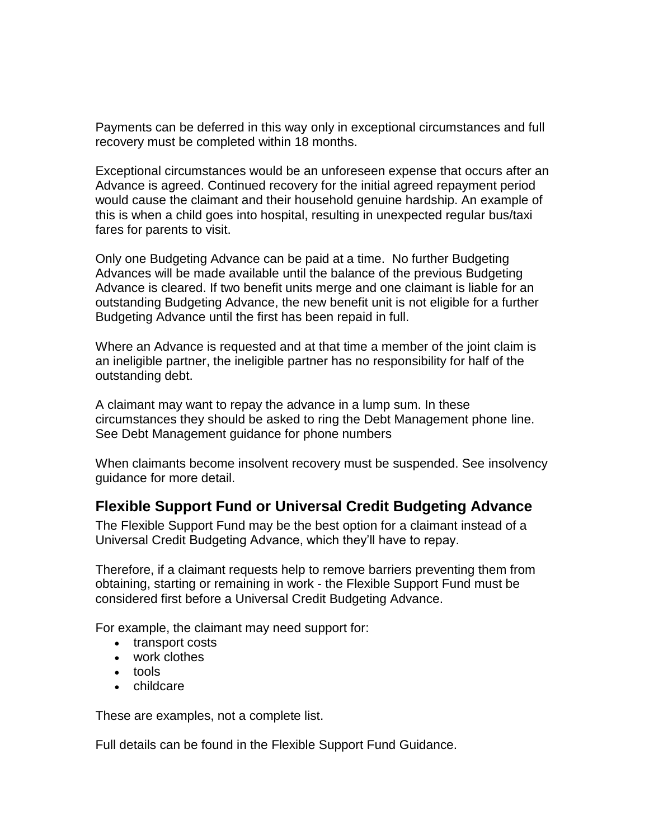Payments can be deferred in this way only in exceptional circumstances and full recovery must be completed within 18 months.

Exceptional circumstances would be an unforeseen expense that occurs after an Advance is agreed. Continued recovery for the initial agreed repayment period would cause the claimant and their household genuine hardship. An example of this is when a child goes into hospital, resulting in unexpected regular bus/taxi fares for parents to visit.

Only one Budgeting Advance can be paid at a time. No further Budgeting Advances will be made available until the balance of the previous Budgeting Advance is cleared. If two benefit units merge and one claimant is liable for an outstanding Budgeting Advance, the new benefit unit is not eligible for a further Budgeting Advance until the first has been repaid in full.

Where an Advance is requested and at that time a member of the joint claim is an ineligible partner, the ineligible partner has no responsibility for half of the outstanding debt.

A claimant may want to repay the advance in a lump sum. In these circumstances they should be asked to ring the Debt Management phone line. See Debt Management guidance for phone numbers

When claimants become insolvent recovery must be suspended. See insolvency guidance for more detail.

## <span id="page-4-0"></span>**Flexible Support Fund or Universal Credit Budgeting Advance**

The Flexible Support Fund may be the best option for a claimant instead of a Universal Credit Budgeting Advance, which they'll have to repay.

Therefore, if a claimant requests help to remove barriers preventing them from obtaining, starting or remaining in work - the Flexible Support Fund must be considered first before a Universal Credit Budgeting Advance.

For example, the claimant may need support for:

- transport costs
- work clothes
- tools
- childcare

These are examples, not a complete list.

Full details can be found in the Flexible Support Fund Guidance.